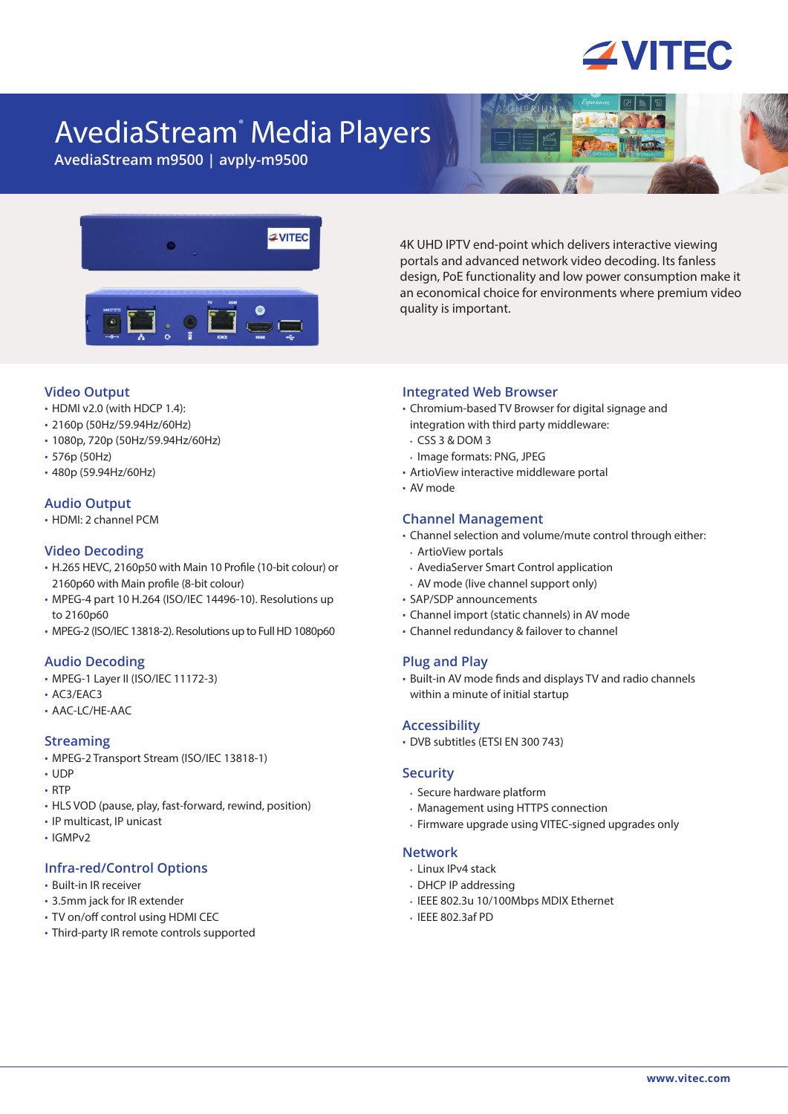# **ZVITEC**

# AvediaStream® Media Players

**AvediaStream m9500 | avply-m9500**



4K UHD IPTV end-point which delivers interactive viewing portals and advanced network video decoding. Its fanless design, PoE functionality and low power consumption make it an economical choice for environments where premium video quality is important.

#### **Video Output**

- **•** HDMI v2.0 (with HDCP 1.4):
- **•** 2160p (50Hz/59.94Hz/60Hz)
- **•** 1080p, 720p (50Hz/59.94Hz/60Hz)
- **•** 576p (50Hz)
- **•** 480p (59.94Hz/60Hz)

## **Audio Output**

**•** HDMI: 2 channel PCM

#### **Video Decoding**

- **•** H.265 HEVC, 2160p50 with Main 10 Profile (10-bit colour) or 2160p60 with Main profile (8-bit colour)
- **•** MPEG-4 part 10 H.264 (ISO/IEC 14496-10). Resolutions up to 2160p60
- **•** MPEG-2 (ISO/IEC 13818-2). Resolutions up to Full HD 1080p60

#### **Audio Decoding**

- **•** MPEG-1 Layer II (ISO/IEC 11172-3)
- **•** AC3/EAC3
- **•** AAC-LC/HE-AAC

#### **Streaming**

- **•** MPEG-2 Transport Stream (ISO/IEC 13818-1)
- **•** UDP
- **•** RTP
- **•** HLS VOD (pause, play, fast-forward, rewind, position)
- **•** IP multicast, IP unicast
- **•** IGMPv2

#### **Infra-red/Control Options**

- **•** Built-in IR receiver
- **•** 3.5mm jack for IR extender
- **•** TV on/off control using HDMI CEC
- **•** Third-party IR remote controls supported

#### **Integrated Web Browser**

- **•** Chromium-based TV Browser for digital signage and integration with third party middleware:
- **•** CSS 3 & DOM 3
- **•** Image formats: PNG, JPEG
- **•** ArtioView interactive middleware portal
- **•** AV mode

#### **Channel Management**

- **•** Channel selection and volume/mute control through either:
- **•** ArtioView portals
- **•** AvediaServer Smart Control application
- **•** AV mode (live channel support only)
- **•** SAP/SDP announcements
- **•** Channel import (static channels) in AV mode
- **•** Channel redundancy & failover to channel

#### **Plug and Play**

**•** Built-in AV mode finds and displays TV and radio channels within a minute of initial startup

#### **Accessibility**

**•** DVB subtitles (ETSI EN 300 743)

#### **Security**

- **•** Secure hardware platform
- **•** Management using HTTPS connection
- **•** Firmware upgrade using VITEC-signed upgrades only

#### **Network**

- **•** Linux IPv4 stack
- **•** DHCP IP addressing
- **•** IEEE 802.3u 10/100Mbps MDIX Ethernet
- **•** IEEE 802.3af PD